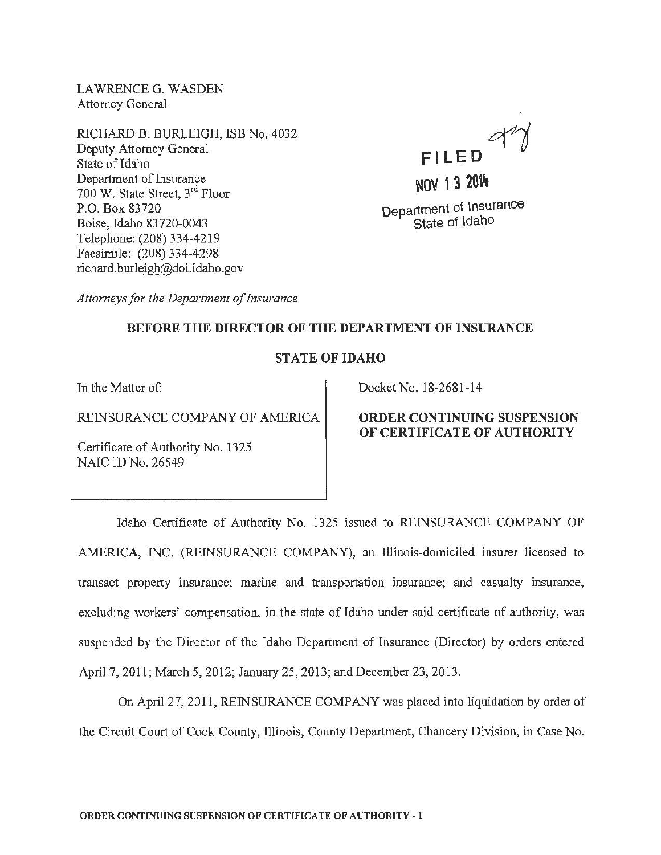LAWRENCE G. WASDEN Attorney General

RICHARD B. BURLEIGH, ISB No. 4032 Deputy Attorney General State of Idaho Department of Insurance 700 W. State Street, 3rd Floor P.O. Box 83720 Boise, Idaho 83720-0043 Telephone: (208) 334-4219 Facsimile: (208) 334-4298 richard. burleigh@doi.idaho. gov



Department of Insurance State of Idaho

*Attorneys for the Department of Insurance* 

### BEFORE THE DIRECTOR OF THE DEPARTMENT OF INSURANCE

## STATE OF IDAHO

REINSURANCE COMPANY OF AMERICA | ORDER CONTINUING SUSPENSION

Certificate of Authority No. 1325 NAIC ID No. 26549

In the Matter of: Docket No. 18-2681-14

# OF CERTIFICATE OF AUTHORITY

Idaho Certificate of Authority No. 1325 issued to REINSURANCE COMPANY OF AMERICA, INC. (REINSURANCE COMPANY), an Illinois-domiciled insurer licensed to transact property insurance; marine and transportation insurance; and casualty insurance, excluding workers' compensation, in the state of Idaho under said certificate of authority, was suspended by the Director of the Idaho Department of Insurance (Director) by orders entered April 7, 2011; March 5, 2012; January 25, 2013; and December 23, 2013.

On April27, 2011, REINSURANCE COMPANY was placed into liquidation by order of the Circuit Court of Cook County, Illinois, County Department, Chancery Division, in Case No.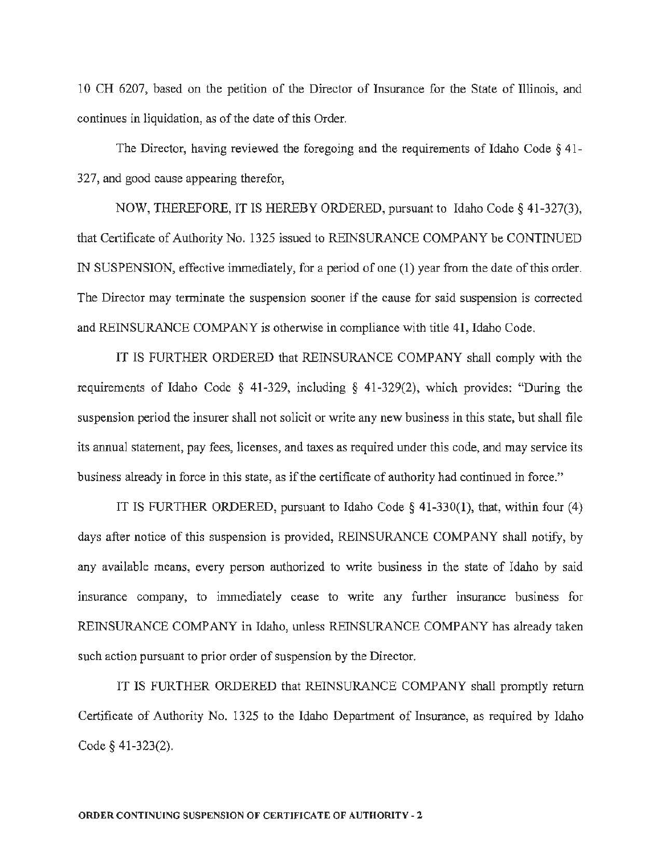10 CH 6207, based on the petition of the Director of Insurance for the State of Illinois, and continues in liquidation, as of the date of this Order.

The Director, having reviewed the foregoing and the requirements of Idaho Code *§* 41- 327, and good cause appearing therefor,

NOW, THEREFORE, IT IS HEREBY ORDERED, pursuant to Idaho Code§ 41-327(3), that Certificate of Authority No. 1325 issued to REINSURANCE COMPANY be CONTINUED IN SUSPENSION, effective immediately, for a period of one (1) year from the date of this order. The Director may terminate the suspension sooner if the cause for said suspension is corrected and REINSURANCE COMPANY is otherwise in compliance with title 41, Idaho Code.

IT IS FURTHER ORDERED that REINSURANCE COMPANY shall comply with the requirements of Idaho Code § 41-329, including § 41-329(2), which provides: "During the suspension period the insurer shall not solicit or write any new business in this state, but shall file its annual statement, pay fees, licenses, and taxes as required under this code, and may service its business already in force in this state, as if the certificate of authority had continued in force."

IT IS FURTHER ORDERED, pursuant to Idaho Code  $\S$  41-330(1), that, within four (4) days after notice of this suspension is provided, REINSURANCE COMPANY shall notify, by any available means, every person authorized to write business in the state of Idaho by said insurance company, to immediately cease to write any further insurance business for REINSURANCE COMPANY in Idaho, unless REINSURANCE COMPANY has already taken such action pursuant to prior order of suspension by the Director.

IT IS FURTHER ORDERED that REINSURANCE COMPANY shall promptly return Certificate of Authority No. 1325 to the Idaho Department of Insurance, as required by Idaho Code§ 41-323(2).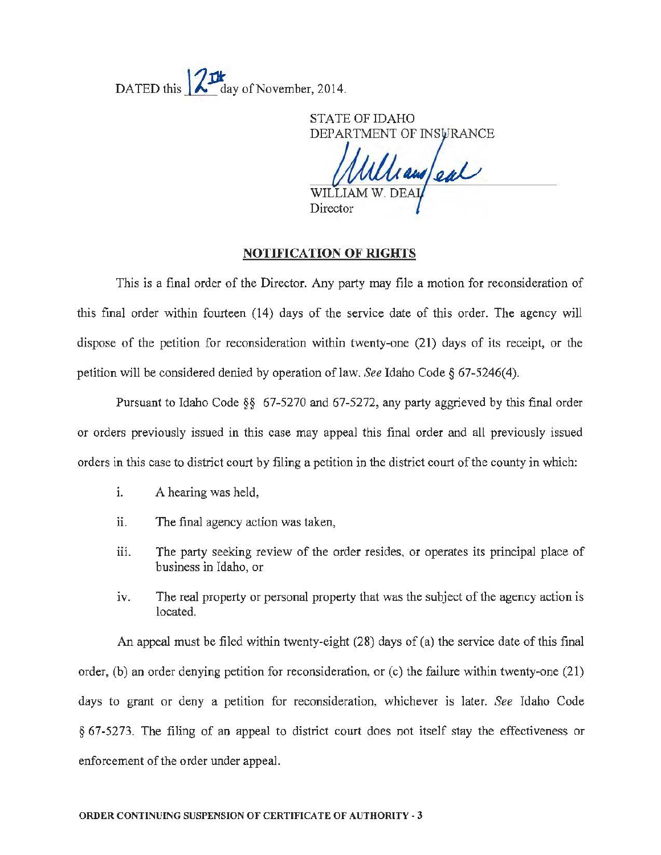DATED this  $\mathbb{Z}$   $\mathbb{Z}$  day of November, 2014.

STATE OF IDAHO DEPARTMENT OF INSURANCE

Window al Director

#### NOTIFICATION OF RIGHTS

This is a final order of the Director. Any party may file a motion for reconsideration of this final order within fourteen (14) days of the service date of this order. The agency will dispose of the petition for reconsideration within twenty-one (21) days of its receipt, or the petition will be considered denied by operation of law. *See* Idaho Code  $\S$  67-5246(4).

Pursuant to Idaho Code §§ 67-5270 and 67-5272, any party aggrieved by this final order or orders previously issued in this case may appeal this final order and all previously issued orders in this case to district court by filing a petition in the district court of the county in which:

- 1. A hearing was held,
- ii. The final agency action was taken,
- iii. The party seeking review of the order resides, or operates its principal place of business in Idaho, or
- iv. The real property or personal property that was the subject of the agency action is located.

An appeal must be filed within twenty-eight (28) days of (a) the service date of this final order, (b) an order denying petition for reconsideration, or (c) the failure within twenty-one (21) days to grant or deny a petition for reconsideration, whichever is later. *See* Idaho Code § 67-5273. The filing of an appeal to district court does not itself stay the effectiveness or enforcement of the order under appeal.